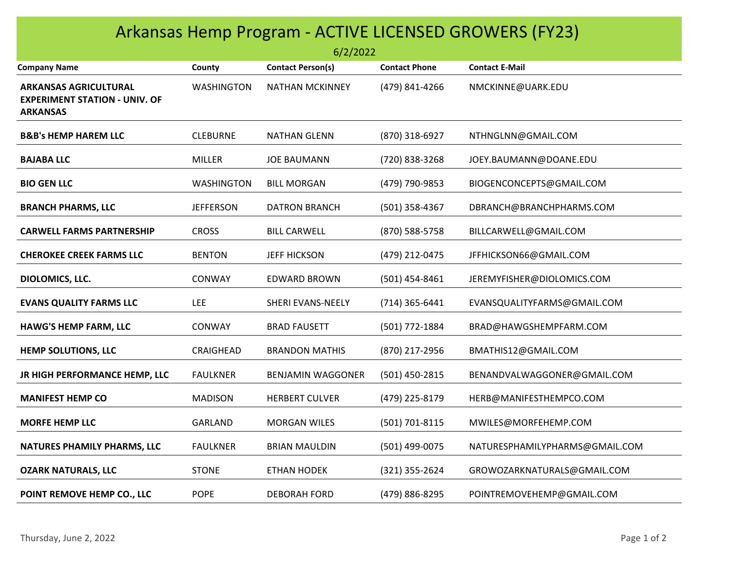| Arkansas Hemp Program - ACTIVE LICENSED GROWERS (FY23)<br>6/2/2022                      |                   |                          |                      |                                |  |  |
|-----------------------------------------------------------------------------------------|-------------------|--------------------------|----------------------|--------------------------------|--|--|
| <b>Company Name</b>                                                                     | County            | <b>Contact Person(s)</b> | <b>Contact Phone</b> | <b>Contact E-Mail</b>          |  |  |
| <b>ARKANSAS AGRICULTURAL</b><br><b>EXPERIMENT STATION - UNIV. OF</b><br><b>ARKANSAS</b> | <b>WASHINGTON</b> | <b>NATHAN MCKINNEY</b>   | (479) 841-4266       | NMCKINNE@UARK.EDU              |  |  |
| <b>B&amp;B's HEMP HAREM LLC</b>                                                         | <b>CLEBURNE</b>   | <b>NATHAN GLENN</b>      | (870) 318-6927       | NTHNGLNN@GMAIL.COM             |  |  |
| <b>BAJABA LLC</b>                                                                       | <b>MILLER</b>     | <b>JOE BAUMANN</b>       | (720) 838-3268       | JOEY.BAUMANN@DOANE.EDU         |  |  |
| <b>BIO GEN LLC</b>                                                                      | <b>WASHINGTON</b> | <b>BILL MORGAN</b>       | (479) 790-9853       | BIOGENCONCEPTS@GMAIL.COM       |  |  |
| <b>BRANCH PHARMS, LLC</b>                                                               | <b>JEFFERSON</b>  | <b>DATRON BRANCH</b>     | (501) 358-4367       | DBRANCH@BRANCHPHARMS.COM       |  |  |
| <b>CARWELL FARMS PARTNERSHIP</b>                                                        | <b>CROSS</b>      | <b>BILL CARWELL</b>      | (870) 588-5758       | BILLCARWELL@GMAIL.COM          |  |  |
| <b>CHEROKEE CREEK FARMS LLC</b>                                                         | <b>BENTON</b>     | <b>JEFF HICKSON</b>      | (479) 212-0475       | JFFHICKSON66@GMAIL.COM         |  |  |
| DIOLOMICS, LLC.                                                                         | <b>CONWAY</b>     | <b>EDWARD BROWN</b>      | $(501)$ 454-8461     | JEREMYFISHER@DIOLOMICS.COM     |  |  |
| <b>EVANS QUALITY FARMS LLC</b>                                                          | <b>LEE</b>        | SHERI EVANS-NEELY        | $(714)$ 365-6441     | EVANSQUALITYFARMS@GMAIL.COM    |  |  |
| <b>HAWG'S HEMP FARM, LLC</b>                                                            | <b>CONWAY</b>     | <b>BRAD FAUSETT</b>      | (501) 772-1884       | BRAD@HAWGSHEMPFARM.COM         |  |  |
| <b>HEMP SOLUTIONS, LLC</b>                                                              | CRAIGHEAD         | <b>BRANDON MATHIS</b>    | (870) 217-2956       | BMATHIS12@GMAIL.COM            |  |  |
| JR HIGH PERFORMANCE HEMP, LLC                                                           | <b>FAULKNER</b>   | <b>BENJAMIN WAGGONER</b> | (501) 450-2815       | BENANDVALWAGGONER@GMAIL.COM    |  |  |
| <b>MANIFEST HEMP CO</b>                                                                 | <b>MADISON</b>    | <b>HERBERT CULVER</b>    | (479) 225-8179       | HERB@MANIFESTHEMPCO.COM        |  |  |
| <b>MORFE HEMP LLC</b>                                                                   | <b>GARLAND</b>    | <b>MORGAN WILES</b>      | (501) 701-8115       | MWILES@MORFEHEMP.COM           |  |  |
| NATURES PHAMILY PHARMS, LLC                                                             | <b>FAULKNER</b>   | <b>BRIAN MAULDIN</b>     | (501) 499-0075       | NATURESPHAMILYPHARMS@GMAIL.COM |  |  |
| <b>OZARK NATURALS, LLC</b>                                                              | <b>STONE</b>      | <b>ETHAN HODEK</b>       | (321) 355-2624       | GROWOZARKNATURALS@GMAIL.COM    |  |  |
| POINT REMOVE HEMP CO., LLC                                                              | <b>POPE</b>       | <b>DEBORAH FORD</b>      | (479) 886-8295       | POINTREMOVEHEMP@GMAIL.COM      |  |  |